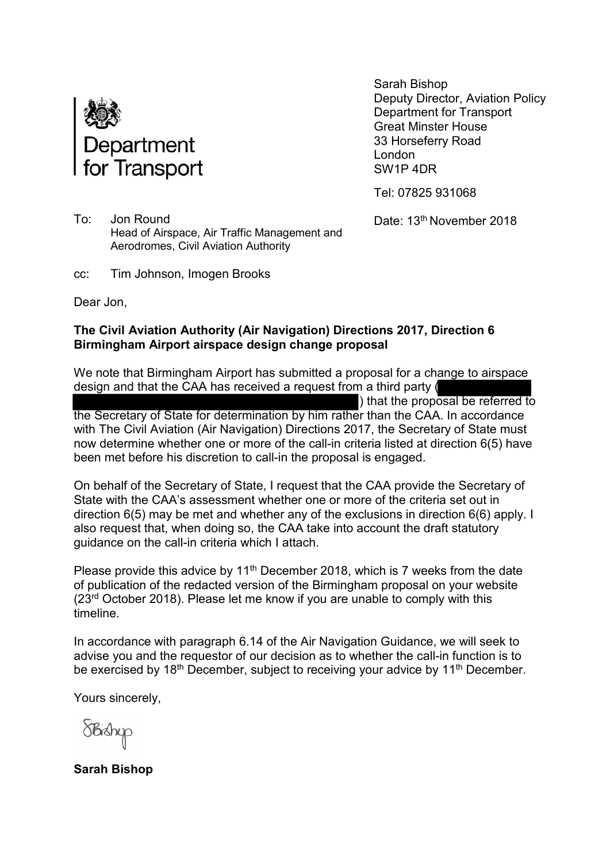

Sarah Bishop Deputy Director, Aviation Policy Department for Transport Great Minster House 33 Horseferry Road London SW1P 4DR

Tel: 07825 931068

Date: 13<sup>th</sup> November 2018

To: Jon Round Head of Airspace, Air Traffic Management and Aerodromes, Civil Aviation Authority

cc: Tim Johnson, Imogen Brooks

Dear Jon,

## **The Civil Aviation Authority (Air Navigation) Directions 2017, Direction 6 Birmingham Airport airspace design change proposal**

We note that Birmingham Airport has submitted a proposal for a change to airspace design and that the CAA has received a request from a third party ( ) that the proposal be referred to the Secretary of State for determination by him rather than the CAA. In accordance with The Civil Aviation (Air Navigation) Directions 2017, the Secretary of State must now determine whether one or more of the call-in criteria listed at direction 6(5) have been met before his discretion to call-in the proposal is engaged.

On behalf of the Secretary of State, I request that the CAA provide the Secretary of State with the CAA's assessment whether one or more of the criteria set out in direction 6(5) may be met and whether any of the exclusions in direction 6(6) apply. I also request that, when doing so, the CAA take into account the draft statutory guidance on the call-in criteria which I attach.

Please provide this advice by  $11<sup>th</sup>$  December 2018, which is 7 weeks from the date of publication of the redacted version of the Birmingham proposal on your website (23rd October 2018). Please let me know if you are unable to comply with this timeline.

In accordance with paragraph 6.14 of the Air Navigation Guidance, we will seek to advise you and the requestor of our decision as to whether the call-in function is to be exercised by 18<sup>th</sup> December, subject to receiving your advice by 11<sup>th</sup> December.

Yours sincerely,

**Sarah Bishop**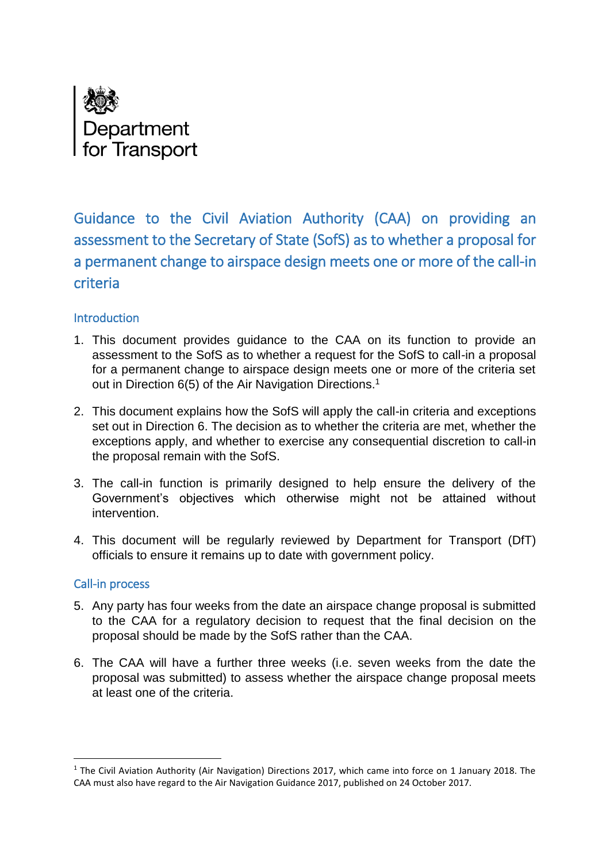

Guidance to the Civil Aviation Authority (CAA) on providing an assessment to the Secretary of State (SofS) as to whether a proposal for a permanent change to airspace design meets one or more of the call-in criteria

## **Introduction**

- 1. This document provides guidance to the CAA on its function to provide an assessment to the SofS as to whether a request for the SofS to call-in a proposal for a permanent change to airspace design meets one or more of the criteria set out in Direction 6(5) of the Air Navigation Directions.<sup>1</sup>
- 2. This document explains how the SofS will apply the call-in criteria and exceptions set out in Direction 6. The decision as to whether the criteria are met, whether the exceptions apply, and whether to exercise any consequential discretion to call-in the proposal remain with the SofS.
- 3. The call-in function is primarily designed to help ensure the delivery of the Government's objectives which otherwise might not be attained without intervention.
- 4. This document will be regularly reviewed by Department for Transport (DfT) officials to ensure it remains up to date with government policy.

## Call-in process

**.** 

- 5. Any party has four weeks from the date an airspace change proposal is submitted to the CAA for a regulatory decision to request that the final decision on the proposal should be made by the SofS rather than the CAA.
- 6. The CAA will have a further three weeks (i.e. seven weeks from the date the proposal was submitted) to assess whether the airspace change proposal meets at least one of the criteria.

<sup>1</sup> The Civil Aviation Authority (Air Navigation) Directions 2017, which came into force on 1 January 2018. The CAA must also have regard to the Air Navigation Guidance 2017, published on 24 October 2017.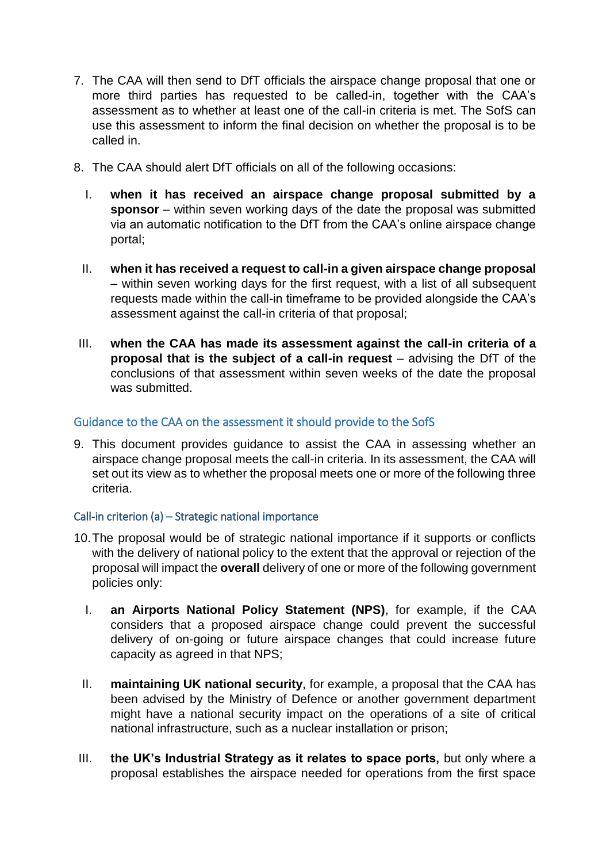- 7. The CAA will then send to DfT officials the airspace change proposal that one or more third parties has requested to be called-in, together with the CAA's assessment as to whether at least one of the call-in criteria is met. The SofS can use this assessment to inform the final decision on whether the proposal is to be called in.
- 8. The CAA should alert DfT officials on all of the following occasions:
	- I. **when it has received an airspace change proposal submitted by a sponsor** – within seven working days of the date the proposal was submitted via an automatic notification to the DfT from the CAA's online airspace change portal;
	- II. **when it has received a request to call-in a given airspace change proposal**  – within seven working days for the first request, with a list of all subsequent requests made within the call-in timeframe to be provided alongside the CAA's assessment against the call-in criteria of that proposal;
- III. **when the CAA has made its assessment against the call-in criteria of a proposal that is the subject of a call-in request** – advising the DfT of the conclusions of that assessment within seven weeks of the date the proposal was submitted.

## Guidance to the CAA on the assessment it should provide to the SofS

9. This document provides guidance to assist the CAA in assessing whether an airspace change proposal meets the call-in criteria. In its assessment, the CAA will set out its view as to whether the proposal meets one or more of the following three criteria.

## Call-in criterion (a) – Strategic national importance

- 10.The proposal would be of strategic national importance if it supports or conflicts with the delivery of national policy to the extent that the approval or rejection of the proposal will impact the **overall** delivery of one or more of the following government policies only:
	- I. **an Airports National Policy Statement (NPS)**, for example, if the CAA considers that a proposed airspace change could prevent the successful delivery of on-going or future airspace changes that could increase future capacity as agreed in that NPS;
	- II. **maintaining UK national security**, for example, a proposal that the CAA has been advised by the Ministry of Defence or another government department might have a national security impact on the operations of a site of critical national infrastructure, such as a nuclear installation or prison;
- III. **the UK's Industrial Strategy as it relates to space ports,** but only where a proposal establishes the airspace needed for operations from the first space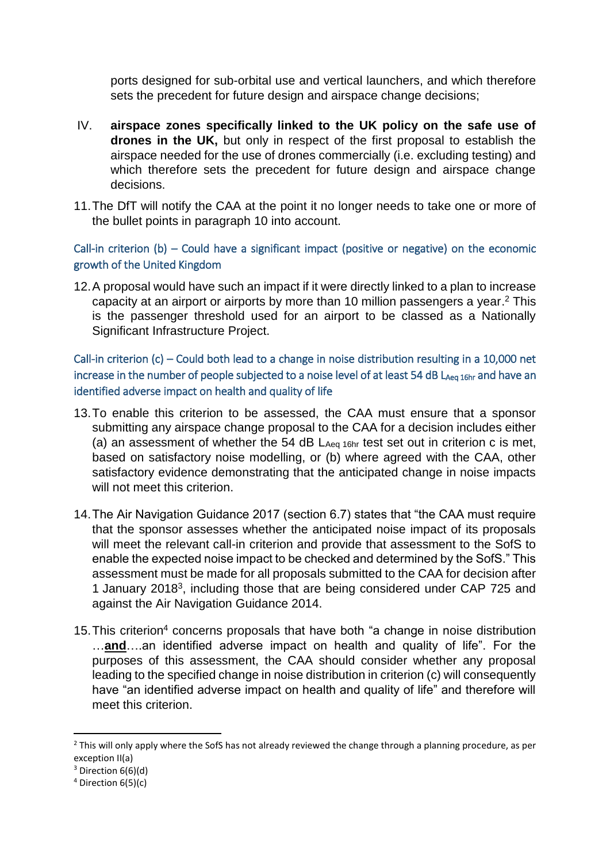ports designed for sub-orbital use and vertical launchers, and which therefore sets the precedent for future design and airspace change decisions;

- IV. **airspace zones specifically linked to the UK policy on the safe use of drones in the UK,** but only in respect of the first proposal to establish the airspace needed for the use of drones commercially (i.e. excluding testing) and which therefore sets the precedent for future design and airspace change decisions.
- 11.The DfT will notify the CAA at the point it no longer needs to take one or more of the bullet points in paragraph 10 into account.

Call-in criterion (b) – Could have a significant impact (positive or negative) on the economic growth of the United Kingdom

12.A proposal would have such an impact if it were directly linked to a plan to increase capacity at an airport or airports by more than 10 million passengers a year. <sup>2</sup> This is the passenger threshold used for an airport to be classed as a Nationally Significant Infrastructure Project.

Call-in criterion (c) – Could both lead to a change in noise distribution resulting in a 10,000 net increase in the number of people subjected to a noise level of at least 54 dB LAeq 16hr and have an identified adverse impact on health and quality of life

- 13.To enable this criterion to be assessed, the CAA must ensure that a sponsor submitting any airspace change proposal to the CAA for a decision includes either (a) an assessment of whether the 54 dB LAeq 16hr test set out in criterion c is met, based on satisfactory noise modelling, or (b) where agreed with the CAA, other satisfactory evidence demonstrating that the anticipated change in noise impacts will not meet this criterion.
- 14.The Air Navigation Guidance 2017 (section 6.7) states that "the CAA must require that the sponsor assesses whether the anticipated noise impact of its proposals will meet the relevant call-in criterion and provide that assessment to the SofS to enable the expected noise impact to be checked and determined by the SofS." This assessment must be made for all proposals submitted to the CAA for decision after 1 January 2018<sup>3</sup>, including those that are being considered under CAP 725 and against the Air Navigation Guidance 2014.
- 15.This criterion<sup>4</sup> concerns proposals that have both "a change in noise distribution …**and**….an identified adverse impact on health and quality of life". For the purposes of this assessment, the CAA should consider whether any proposal leading to the specified change in noise distribution in criterion (c) will consequently have "an identified adverse impact on health and quality of life" and therefore will meet this criterion.

**.** 

<sup>&</sup>lt;sup>2</sup> This will only apply where the SofS has not already reviewed the change through a planning procedure, as per exception II(a)

 $3$  Direction  $6(6)(d)$ 

<sup>4</sup> Direction 6(5)(c)